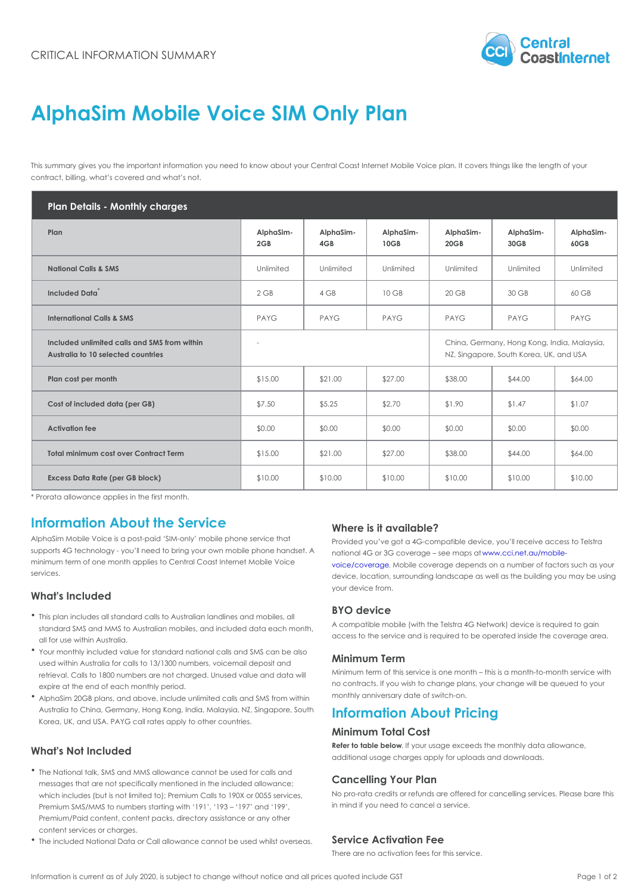# AlphaSim Mobile Voice SIM Only Plan

This summary gives you the important information you need to know about your Central Coast Internet Mobile Voice contract, billing, what s covered and what s not.

| Plan Details - Monthly charges                                                     |                       |                       |                   |                                                                         |                         |                        |
|------------------------------------------------------------------------------------|-----------------------|-----------------------|-------------------|-------------------------------------------------------------------------|-------------------------|------------------------|
| Plan                                                                               | $Alpha Sim-$<br>2 G B | $Alpha Sim-$<br>4 G B | AlphaSim-<br>10GB | $AlphaSim$ -<br>$20G$ B                                                 | $Alpha Sim-$<br>$30G$ B | $Alpha Sim-$<br>60 G B |
| National Calls & SMS                                                               | Unlimited             | Unlimited             | Unlimited         | Unlimited                                                               | Unlimited               | Unlimited              |
| Included Data                                                                      | $2$ GB                | 4 GB                  | 10 GB             | 20 GB                                                                   | 30 GB                   | 60 GB                  |
| International Calls & SMS                                                          | PAYG                  | PAYG                  | PAYG              | PAYG                                                                    | PAYG                    | PAYG                   |
| Included unlimited calls and SMS from within<br>Australia to 10 selected countries |                       |                       |                   | China, Germany, Hong Kong, India,<br>NZ, Singapore, South Korea, UK, an |                         |                        |
| Plan cost per month                                                                | \$15.00               | \$21.00               | \$27.00           | \$38.00                                                                 | \$44.00                 | \$64.00                |
| Cost of included data (per GB)                                                     | \$7.50                | \$5.25                | \$2.70            | \$1.90                                                                  | \$1.47                  | \$1.07                 |
| Activation fee                                                                     | \$0.00                | \$0.00                | \$0.00            | \$0.00                                                                  | \$0.00                  | \$0.00                 |
| Total minimum cost over Contract Term \$15.00                                      |                       | \$21.00               | \$27.00           | \$38.00                                                                 | \$44.00                 | \$64.00                |
| Excess Data Rate (per GB block)                                                    | \$10.00               | \$10.00               | \$10.00           | \$10.00                                                                 | \$10.00                 | \$10.00                |

\* Prorata allowance applies in the first month.

#### Information About the Service Where is it available?

AlphaSim Mobile Voice is a post-paid SIM-only mobile phpp&v\$&&dig&ut\&t got a 4G-compatible device, you II receiv supports 4G technology – you II need to bring your own mohale <sub>በ</sub>ብክያባው በመዘጋተኛ የተወሰቀ maps were maps eattau/mobileminimum term of one month applies to Central Coast Internetidle Particle Particular coverage depends on a number of fact services. device, location, surrounding landscape as well as the building your may be used to make using the using  $\frac{1}{2}$ 

### What's Included

your device from.

- This plan includes all standard calls to Australian landlines and mobiles, all BYO device standard SMS and MMS to Australian mobiles, and included data each month, (with the Telstra 4G Network) device all for use within Australia. ed data each month,<br>access to the service and is required to be operated insid
- Your monthly included value for standard national calls and SMS can be also used within Australia for calls to 13/1300 numbers, voicemail deposit and Term retrieval. Calls to 1800 numbers are not charged. Unused  $M \bar{\psi}$ ai $\Psi^a$ n aff with service is one month - this is a mont expire at the end of each monthly period. no contracts. If you wish to change plans, your change will
- AlphaSim 20GB plans, and above, include unlimited calls 『AnPut『영朗 a Fipshin いっぱれ witch-on. Australia to China, Germany, Hong Kong, India, Malaysia, NZf Sipanparti Somth About Pricing Korea, UK, and USA. PAYG call rates apply to other countries.

### What's Not Included

Minimum Total Cost

Refer to table below . usage exceeds the monthly data all additional usage charges apply for uploads and downloads.

- The National talk, SMS and MMS allowance cannot be used for calls and messages that are not specifically mentioned in the incluved bangle wind g. Your Plan which includes (but is not limited to); Premium Calls to 1<sup>1</sup>99 XPT 090595 cs edit east refunds are offered for cancelling s Premium SMS/MMS to numbers starting with 191, 193 in1977 not it you go eed to cancel a service. Premium/Paid content, content packs, directory assistance or any other content services or charges.
- The included National Data or Call allowance cannot be used I wing a A ctive ation Fee

There are no activation fees for this service.

Information is current as of July 2020, is subject to change without notice and all prices quoted include GBage 1 of